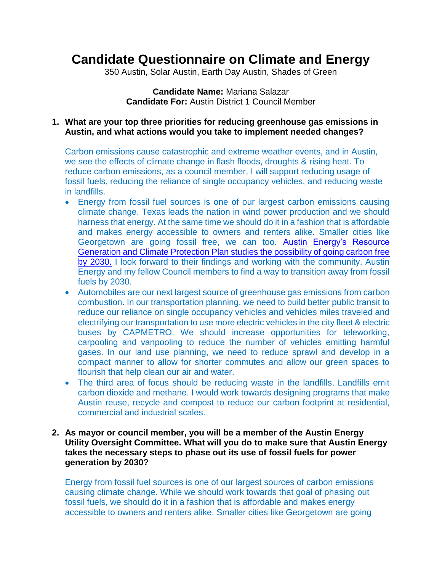## **Candidate Questionnaire on Climate and Energy**

350 Austin, Solar Austin, Earth Day Austin, Shades of Green

**Candidate Name:** Mariana Salazar **Candidate For:** Austin District 1 Council Member

## **1. What are your top three priorities for reducing greenhouse gas emissions in Austin, and what actions would you take to implement needed changes?**

Carbon emissions cause catastrophic and extreme weather events, and in Austin, we see the effects of climate change in flash floods, droughts & rising heat. To reduce carbon emissions, as a council member, I will support reducing usage of fossil fuels, reducing the reliance of single occupancy vehicles, and reducing waste in landfills.

- Energy from fossil fuel sources is one of our largest carbon emissions causing climate change. Texas leads the nation in wind power production and we should harness that energy. At the same time we should do it in a fashion that is affordable and makes energy accessible to owners and renters alike. Smaller cities like Georgetown are going fossil free, we can too. [Austin Energy's Resource](https://austinenergy.com/wcm/connect/6dd1c1c7-77e4-43e4-8789-838eb9f0790d/2027+Austin+Energy+Resource+Plan+20171002.pdf?MOD=AJPERES&CVID=lXv4zHS)  [Generation and Climate Protection Plan studies the possibility of going carbon free](https://austinenergy.com/wcm/connect/6dd1c1c7-77e4-43e4-8789-838eb9f0790d/2027+Austin+Energy+Resource+Plan+20171002.pdf?MOD=AJPERES&CVID=lXv4zHS)  [by 2030.](https://austinenergy.com/wcm/connect/6dd1c1c7-77e4-43e4-8789-838eb9f0790d/2027+Austin+Energy+Resource+Plan+20171002.pdf?MOD=AJPERES&CVID=lXv4zHS) I look forward to their findings and working with the community, Austin Energy and my fellow Council members to find a way to transition away from fossil fuels by 2030.
- Automobiles are our next largest source of greenhouse gas emissions from carbon combustion. In our transportation planning, we need to build better public transit to reduce our reliance on single occupancy vehicles and vehicles miles traveled and electrifying our transportation to use more electric vehicles in the city fleet & electric buses by CAPMETRO. We should increase opportunities for teleworking, carpooling and vanpooling to reduce the number of vehicles emitting harmful gases. In our land use planning, we need to reduce sprawl and develop in a compact manner to allow for shorter commutes and allow our green spaces to flourish that help clean our air and water.
- The third area of focus should be reducing waste in the landfills. Landfills emit carbon dioxide and methane. I would work towards designing programs that make Austin reuse, recycle and compost to reduce our carbon footprint at residential, commercial and industrial scales.

## **2. As mayor or council member, you will be a member of the Austin Energy Utility Oversight Committee. What will you do to make sure that Austin Energy takes the necessary steps to phase out its use of fossil fuels for power generation by 2030?**

Energy from fossil fuel sources is one of our largest sources of carbon emissions causing climate change. While we should work towards that goal of phasing out fossil fuels, we should do it in a fashion that is affordable and makes energy accessible to owners and renters alike. Smaller cities like Georgetown are going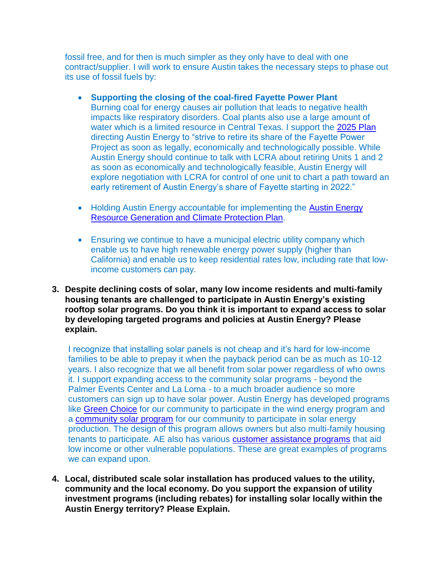fossil free, and for then is much simpler as they only have to deal with one contract/supplier. I will work to ensure Austin takes the necessary steps to phase out its use of fossil fuels by:

- **Supporting the closing of the coal-fired Fayette Power Plant**  Burning coal for energy causes air pollution that leads to negative health impacts like respiratory disorders. Coal plants also use a large amount of water which is a limited resource in Central Texas. I support the [2025 Plan](https://austinenergy.com/wcm/connect/461827d4-e46e-4ba8-acf5-e8b0716261de/aeResourceGenerationClimateProtectionPlan2025.pdf?MOD=AJPERES&CVID=kIjCCTT) directing Austin Energy to "strive to retire its share of the Fayette Power Project as soon as legally, economically and technologically possible. While Austin Energy should continue to talk with LCRA about retiring Units 1 and 2 as soon as economically and technologically feasible, Austin Energy will explore negotiation with LCRA for control of one unit to chart a path toward an early retirement of Austin Energy's share of Fayette starting in 2022."
- Holding [Austin Energy](https://austinenergy.com/wcm/connect/6dd1c1c7-77e4-43e4-8789-838eb9f0790d/2027+Austin+Energy+Resource+Plan+20171002.pdf?MOD=AJPERES&CVID=lXv4zHS) accountable for implementing the Austin Energy [Resource Generation and Climate Protection Plan.](https://austinenergy.com/wcm/connect/6dd1c1c7-77e4-43e4-8789-838eb9f0790d/2027+Austin+Energy+Resource+Plan+20171002.pdf?MOD=AJPERES&CVID=lXv4zHS)
- Ensuring we continue to have a municipal electric utility company which enable us to have high renewable energy power supply (higher than California) and enable us to keep residential rates low, including rate that lowincome customers can pay.
- **3. Despite declining costs of solar, many low income residents and multi-family housing tenants are challenged to participate in Austin Energy's existing rooftop solar programs. Do you think it is important to expand access to solar by developing targeted programs and policies at Austin Energy? Please explain.**

I recognize that installing solar panels is not cheap and it's hard for low-income families to be able to prepay it when the payback period can be as much as 10-12 years. I also recognize that we all benefit from solar power regardless of who owns it. I support expanding access to the community solar programs - beyond the Palmer Events Center and La Loma - to a much broader audience so more customers can sign up to have solar power. Austin Energy has developed programs like [Green Choice](https://austinenergy.com/ae/green-power/greenchoice/faqs) for our community to participate in the wind energy program and a [community solar program](https://austinenergy.com/ae/green-power/solar-solutions) for our community to participate in solar energy production. The design of this program allows owners but also multi-family housing tenants to participate. AE also has various [customer assistance programs](https://austinenergy.com/ae/residential/your-bill/customer-assistance-programs) that aid low income or other vulnerable populations. These are great examples of programs we can expand upon.

**4. Local, distributed scale solar installation has produced values to the utility, community and the local economy. Do you support the expansion of utility investment programs (including rebates) for installing solar locally within the Austin Energy territory? Please Explain.**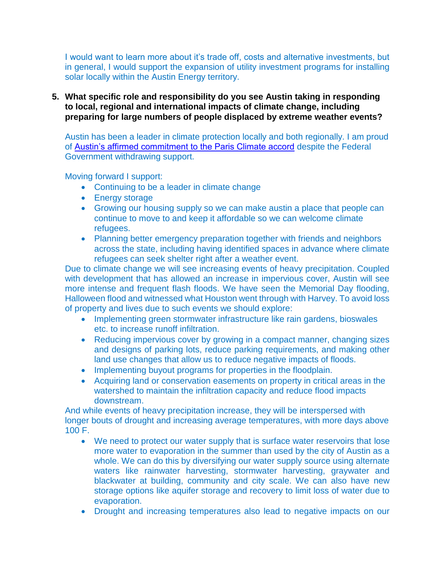I would want to learn more about it's trade off, costs and alternative investments, but in general, I would support the expansion of utility investment programs for installing solar locally within the Austin Energy territory.

**5. What specific role and responsibility do you see Austin taking in responding to local, regional and international impacts of climate change, including preparing for large numbers of people displaced by extreme weather events?** 

Austin has been a leader in climate protection locally and both regionally. I am proud of [Austin's affirmed commitment to the Paris Climate accord](https://www.statesman.com/news/20170602/austin-officials-withdrawal-from-paris-accord-wont-stop-city-plans) despite the Federal Government withdrawing support.

Moving forward I support:

- Continuing to be a leader in climate change
- Energy storage
- Growing our housing supply so we can make austin a place that people can continue to move to and keep it affordable so we can welcome climate refugees.
- Planning better emergency preparation together with friends and neighbors across the state, including having identified spaces in advance where climate refugees can seek shelter right after a weather event.

Due to climate change we will see increasing events of heavy precipitation. Coupled with development that has allowed an increase in impervious cover, Austin will see more intense and frequent flash floods. We have seen the Memorial Day flooding, Halloween flood and witnessed what Houston went through with Harvey. To avoid loss of property and lives due to such events we should explore:

- Implementing green stormwater infrastructure like rain gardens, bioswales etc. to increase runoff infiltration.
- Reducing impervious cover by growing in a compact manner, changing sizes and designs of parking lots, reduce parking requirements, and making other land use changes that allow us to reduce negative impacts of floods.
- Implementing buyout programs for properties in the floodplain.
- Acquiring land or conservation easements on property in critical areas in the watershed to maintain the infiltration capacity and reduce flood impacts downstream.

And while events of heavy precipitation increase, they will be interspersed with longer bouts of drought and increasing average temperatures, with more days above 100 F.

- We need to protect our water supply that is surface water reservoirs that lose more water to evaporation in the summer than used by the city of Austin as a whole. We can do this by diversifying our water supply source using alternate waters like rainwater harvesting, stormwater harvesting, graywater and blackwater at building, community and city scale. We can also have new storage options like aquifer storage and recovery to limit loss of water due to evaporation.
- Drought and increasing temperatures also lead to negative impacts on our